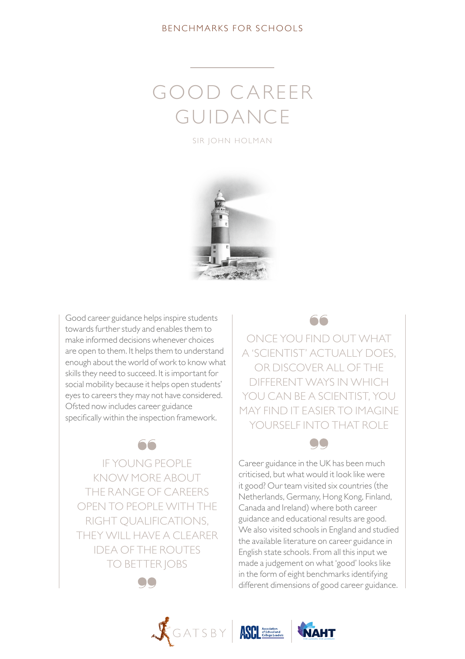### BENCHMARKS FOR SCHOOLS

# GOOD C AREER GUIDANCE

SIR JOHN HOLMAN



Good career guidance helps inspire students towards further study and enables them to make informed decisions whenever choices are open to them. It helps them to understand enough about the world of work to know what skills they need to succeed. It is important for social mobility because it helps open students' eyes to careers they may not have considered. Ofsted now includes career guidance specifically within the inspection framework.

IF YOUNG PEOPLE KNOW MORE ABOUT THE RANGE OF CAREERS OPEN TO PEOPLE WITH THE RIGHT QUALIFICATIONS, THEY WILL HAVE A CLEARER IDEA OF THE ROUTES TO BETTER JOBS

e a

66



ONCE YOU FIND OUT WHAT A 'SCIENTIST' ACTUALLY DOES, OR DISCOVER ALL OF THE DIFFERENT WAYS IN WHICH YOU CAN BE A SCIENTIST, YOU MAY FIND IT EASIER TO IMAGINE YOURSELF INTO THAT ROLE







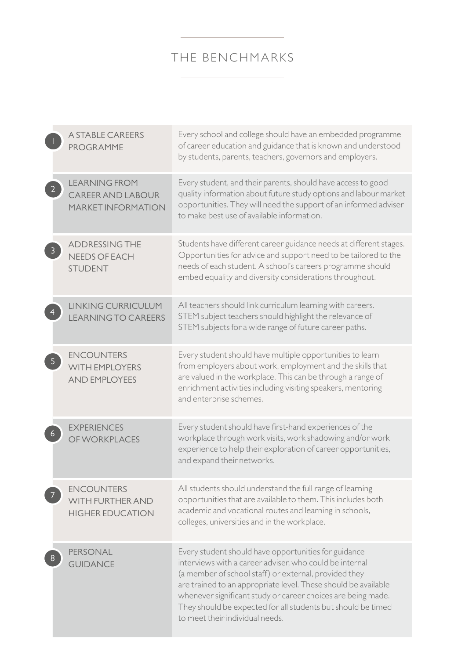# THE BENCHMARKS

| <b>A STABLE CAREERS</b><br>PROGRAMME                                          | Every school and college should have an embedded programme<br>of career education and guidance that is known and understood<br>by students, parents, teachers, governors and employers.                                                                                                                                                                                                                       |
|-------------------------------------------------------------------------------|---------------------------------------------------------------------------------------------------------------------------------------------------------------------------------------------------------------------------------------------------------------------------------------------------------------------------------------------------------------------------------------------------------------|
| <b>LEARNING FROM</b><br><b>CAREER AND LABOUR</b><br><b>MARKET INFORMATION</b> | Every student, and their parents, should have access to good<br>quality information about future study options and labour market<br>opportunities. They will need the support of an informed adviser<br>to make best use of available information.                                                                                                                                                            |
| <b>ADDRESSING THE</b><br><b>NEEDS OF EACH</b><br><b>STUDENT</b>               | Students have different career guidance needs at different stages.<br>Opportunities for advice and support need to be tailored to the<br>needs of each student. A school's careers programme should<br>embed equality and diversity considerations throughout.                                                                                                                                                |
| <b>LINKING CURRICULUM</b><br><b>LEARNING TO CAREERS</b>                       | All teachers should link curriculum learning with careers.<br>STEM subject teachers should highlight the relevance of<br>STEM subjects for a wide range of future career paths.                                                                                                                                                                                                                               |
| <b>ENCOUNTERS</b><br><b>WITH EMPLOYERS</b><br><b>AND EMPLOYEES</b>            | Every student should have multiple opportunities to learn<br>from employers about work, employment and the skills that<br>are valued in the workplace. This can be through a range of<br>enrichment activities including visiting speakers, mentoring<br>and enterprise schemes.                                                                                                                              |
| <b>EXPERIENCES</b><br>OF WORKPLACES                                           | Every student should have first-hand experiences of the<br>workplace through work visits, work shadowing and/or work<br>experience to help their exploration of career opportunities,<br>and expand their networks.                                                                                                                                                                                           |
| <b>ENCOUNTERS</b><br>WITH FURTHER AND<br><b>HIGHER EDUCATION</b>              | All students should understand the full range of learning<br>opportunities that are available to them. This includes both<br>academic and vocational routes and learning in schools,<br>colleges, universities and in the workplace.                                                                                                                                                                          |
| PERSONAL<br><b>GUIDANCE</b>                                                   | Every student should have opportunities for guidance<br>interviews with a career adviser, who could be internal<br>(a member of school staff) or external, provided they<br>are trained to an appropriate level. These should be available<br>whenever significant study or career choices are being made.<br>They should be expected for all students but should be timed<br>to meet their individual needs. |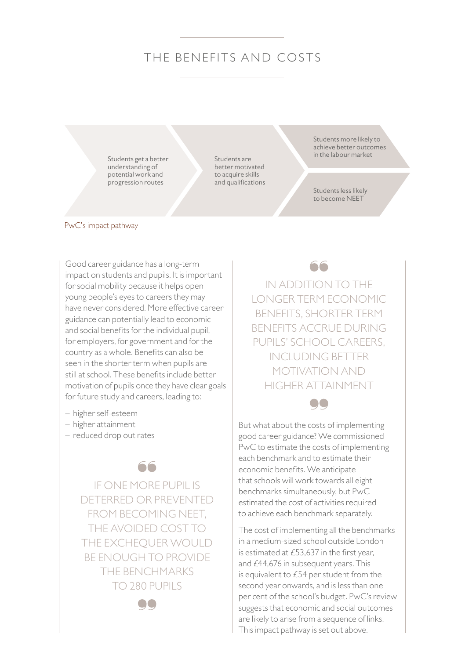## THE BENEFITS AND COSTS

Students get a better understanding of potential work and progression routes

Students are better motivated to acquire skills and qualifications Students more likely to achieve better outcomes in the labour market

Students less likely to become NEET

#### PwC's impact pathway

Good career guidance has a long-term impact on students and pupils. It is important for social mobility because it helps open young people's eyes to careers they may have never considered. More effective career guidance can potentially lead to economic and social benefits for the individual pupil, for employers, for government and for the country as a whole. Benefits can also be seen in the shorter term when pupils are still at school. These benefits include better motivation of pupils once they have clear goals for future study and careers, leading to:

- higher self-esteem
- higher attainment
- reduced drop out rates

66

IF ONE MORE PUPIL IS DETERRED OR PREVENTED FROM BECOMING NEET, THE AVOIDED COST TO THE EXCHEQUER WOULD BE ENOUGH TO PROVIDE THE BENCHMARKS TO 280 PUPILS

OO.

IN ADDITION TO THE LONGER TERM ECONOMIC BENEFITS, SHORTER TERM BENEFITS ACCRUE DURING PUPILS' SCHOOL CAREERS INCLUDING BETTER MOTIVATION AND HIGHER ATTAINMENT

**OO** 

But what about the costs of implementing good career guidance? We commissioned PwC to estimate the costs of implementing each benchmark and to estimate their economic benefits. We anticipate that schools will work towards all eight benchmarks simultaneously, but PwC estimated the cost of activities required to achieve each benchmark separately.

The cost of implementing all the benchmarks in a medium-sized school outside London is estimated at £53,637 in the first year, and £44,676 in subsequent years. This is equivalent to £54 per student from the second year onwards, and is less than one per cent of the school's budget. PwC's review suggests that economic and social outcomes are likely to arise from a sequence of links. This impact pathway is set out above.